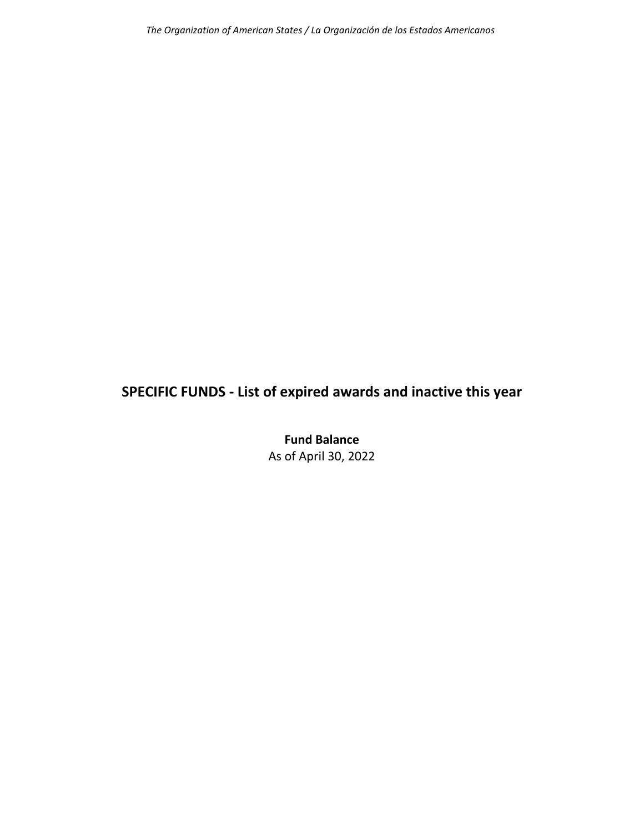# **SPECIFIC FUNDS ‐ List of expired awards and inactive this year**

**Fund Balance** As of April 30, 2022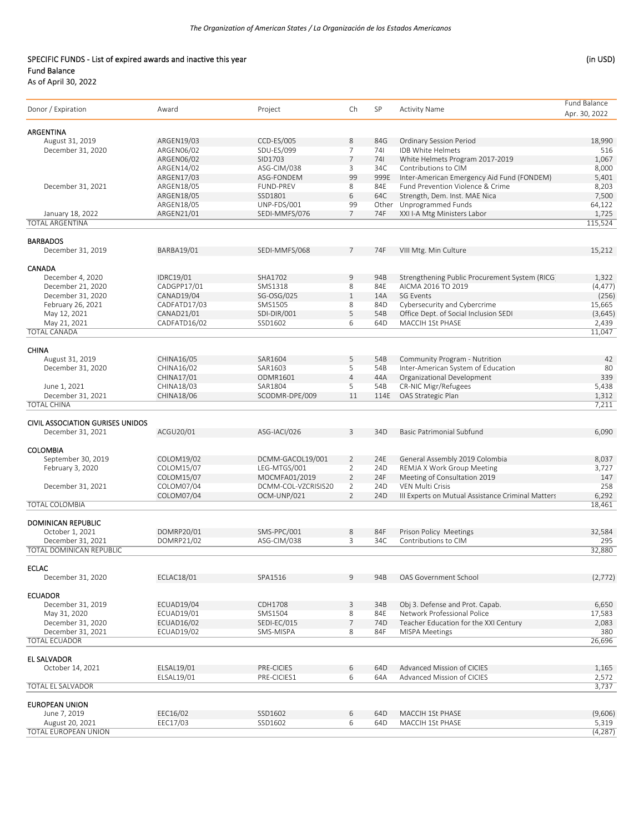### SPECIFIC FUNDS - List of expired awards and inactive this year (in USD) Fund Balance

| Donor / Expiration                        | Award            | Project             | Ch             | SP   | <b>Activity Name</b>                              | Fund Balance<br>Apr. 30, 2022 |
|-------------------------------------------|------------------|---------------------|----------------|------|---------------------------------------------------|-------------------------------|
| ARGENTINA                                 |                  |                     |                |      |                                                   |                               |
| August 31, 2019                           | ARGEN19/03       | CCD-ES/005          | 8              | 84G  | Ordinary Session Period                           | 18,990                        |
| December 31, 2020                         | ARGEN06/02       | SDU-ES/099          | 7              | 741  | IDB White Helmets                                 | 516                           |
|                                           | ARGEN06/02       | SID1703             | $\overline{7}$ | 741  | White Helmets Program 2017-2019                   | 1,067                         |
|                                           | ARGEN14/02       | ASG-CIM/038         | 3              | 34C  | Contributions to CIM                              | 8,000                         |
|                                           | ARGEN17/03       | ASG-FONDEM          | 99             | 999E | Inter-American Emergency Aid Fund (FONDEM)        | 5,401                         |
| December 31, 2021                         | ARGEN18/05       | FUND-PREV           | 8              | 84E  | Fund Prevention Violence & Crime                  | 8,203                         |
|                                           | ARGEN18/05       | SSD1801             | 6              | 64C  | Strength, Dem. Inst. MAE Nica                     | 7,500                         |
|                                           | ARGEN18/05       | UNP-FDS/001         | 99             |      | Other Unprogrammed Funds                          | 64,122                        |
| January 18, 2022                          | ARGEN21/01       | SEDI-MMFS/076       | $\overline{7}$ | 74F  | XXI I-A Mtg Ministers Labor                       | 1,725                         |
| <b>TOTAL ARGENTINA</b>                    |                  |                     |                |      |                                                   | 115,524                       |
| <b>BARBADOS</b>                           |                  |                     |                |      |                                                   |                               |
| December 31, 2019                         | BARBA19/01       | SEDI-MMFS/068       | $\overline{7}$ | 74F  | VIII Mtg. Min Culture                             | 15,212                        |
| <b>CANADA</b>                             |                  |                     |                |      |                                                   |                               |
| December 4, 2020                          | <b>IDRC19/01</b> | SHA1702             | 9              | 94B  | Strengthening Public Procurement System (RICG)    | 1,322                         |
| December 21, 2020                         | CADGPP17/01      | SMS1318             | 8              | 84E  | AICMA 2016 TO 2019                                | (4, 477)                      |
| December 31, 2020                         | CANAD19/04       | SG-OSG/025          | $\mathbf{1}$   | 14A  | SG Events                                         | (256)                         |
| February 26, 2021                         | CADFATD17/03     | SMS1505             | 8              | 84D  | Cybersecurity and Cybercrime                      | 15,665                        |
| May 12, 2021                              | CANAD21/01       | SDI-DIR/001         | 5              | 54B  | Office Dept. of Social Inclusion SEDI             | (3,645)                       |
| May 21, 2021                              | CADFATD16/02     | SSD1602             | 6              | 64D  | MACCIH 1St PHASE                                  | 2,439                         |
| <b>TOTAL CANADA</b>                       |                  |                     |                |      |                                                   | 11,047                        |
| <b>CHINA</b>                              |                  |                     |                |      |                                                   |                               |
| August 31, 2019                           | CHINA16/05       | SAR1604             | 5              | 54B  | Community Program - Nutrition                     | 42                            |
| December 31, 2020                         | CHINA16/02       | SAR1603             | 5              | 54B  | Inter-American System of Education                | 80                            |
|                                           | CHINA17/01       | ODMR1601            | $\overline{4}$ | 44A  | Organizational Development                        | 339                           |
| June 1, 2021                              | CHINA18/03       | SAR1804             | 5              | 54B  | <b>CR-NIC Migr/Refugees</b>                       | 5,438                         |
| December 31, 2021                         | CHINA18/06       | SCODMR-DPE/009      | 11             | 114E | OAS Strategic Plan                                | 1,312                         |
| <b>TOTAL CHINA</b>                        |                  |                     |                |      |                                                   | 7,211                         |
|                                           |                  |                     |                |      |                                                   |                               |
| <b>CIVIL ASSOCIATION GURISES UNIDOS</b>   |                  |                     |                |      |                                                   |                               |
| December 31, 2021                         | ACGU20/01        | ASG-IACI/026        | 3              | 34D  | Basic Patrimonial Subfund                         | 6,090                         |
| <b>COLOMBIA</b>                           |                  |                     |                |      |                                                   |                               |
| September 30, 2019                        | COLOM19/02       | DCMM-GACOL19/001    | $\overline{2}$ | 24E  | General Assembly 2019 Colombia                    | 8,037                         |
| February 3, 2020                          | COLOM15/07       | LEG-MTGS/001        | $\overline{2}$ | 24D  | <b>REMJA X Work Group Meeting</b>                 | 3,727                         |
|                                           | COLOM15/07       | MOCMFA01/2019       | $\overline{2}$ | 24F  | Meeting of Consultation 2019                      | 147                           |
| December 31, 2021                         | COLOM07/04       | DCMM-COL-VZCRISIS20 | $\overline{2}$ | 24D  | <b>VEN Multi Crisis</b>                           | 258                           |
|                                           | COLOM07/04       | OCM-UNP/021         | $\overline{2}$ | 24D  | III Experts on Mutual Assistance Criminal Matters | 6,292                         |
| <b>TOTAL COLOMBIA</b>                     |                  |                     |                |      |                                                   | 18,461                        |
| <b>DOMINICAN REPUBLIC</b>                 |                  |                     |                |      |                                                   |                               |
| October 1, 2021                           | DOMRP20/01       | SMS-PPC/001         | 8              | 84F  | Prison Policy Meetings                            | 32,584                        |
| December 31, 2021                         | DOMRP21/02       | ASG-CIM/038         | 3              | 34C  | Contributions to CIM                              | 295                           |
| <b>TOTAL DOMINICAN REPUBLIC</b>           |                  |                     |                |      |                                                   | 32,880                        |
| <b>ECLAC</b>                              |                  |                     |                |      |                                                   |                               |
| December 31, 2020                         | ECLAC18/01       | SPA1516             | 9              | 94B  | OAS Government School                             | (2, 772)                      |
| <b>ECUADOR</b>                            |                  |                     |                |      |                                                   |                               |
| December 31, 2019                         | ECUAD19/04       | CDH1708             | 3              | 34B  | Obj 3. Defense and Prot. Capab.                   | 6,650                         |
| May 31, 2020                              | ECUAD19/01       | SMS1504             | 8              | 84E  | Network Professional Police                       | 17,583                        |
| December 31, 2020                         | ECUAD16/02       | SEDI-EC/015         | $\overline{7}$ | 74D  | Teacher Education for the XXI Century             | 2,083                         |
|                                           |                  |                     | 8              | 84F  |                                                   |                               |
| December 31, 2021<br><b>TOTAL ECUADOR</b> | ECUAD19/02       | SMS-MISPA           |                |      | <b>MISPA Meetings</b>                             | 380<br>26,696                 |
|                                           |                  |                     |                |      |                                                   |                               |
| <b>EL SALVADOR</b><br>October 14, 2021    |                  |                     |                |      |                                                   |                               |
|                                           | ELSAL19/01       | PRE-CICIES          | 6              | 64D  | Advanced Mission of CICIES                        | 1,165                         |
| <b>TOTAL EL SALVADOR</b>                  | ELSAL19/01       | PRE-CICIES1         | 6              | 64A  | Advanced Mission of CICIES                        | 2,572<br>3,737                |
|                                           |                  |                     |                |      |                                                   |                               |
| <b>EUROPEAN UNION</b><br>June 7, 2019     | EEC16/02         | SSD1602             | 6              | 64D  | MACCIH 1St PHASE                                  | (9,606)                       |
| August 20, 2021                           | EEC17/03         | SSD1602             | 6              | 64D  | MACCIH 1St PHASE                                  | 5,319                         |
| TOTAL EUROPEAN UNION                      |                  |                     |                |      |                                                   | (4, 287)                      |
|                                           |                  |                     |                |      |                                                   |                               |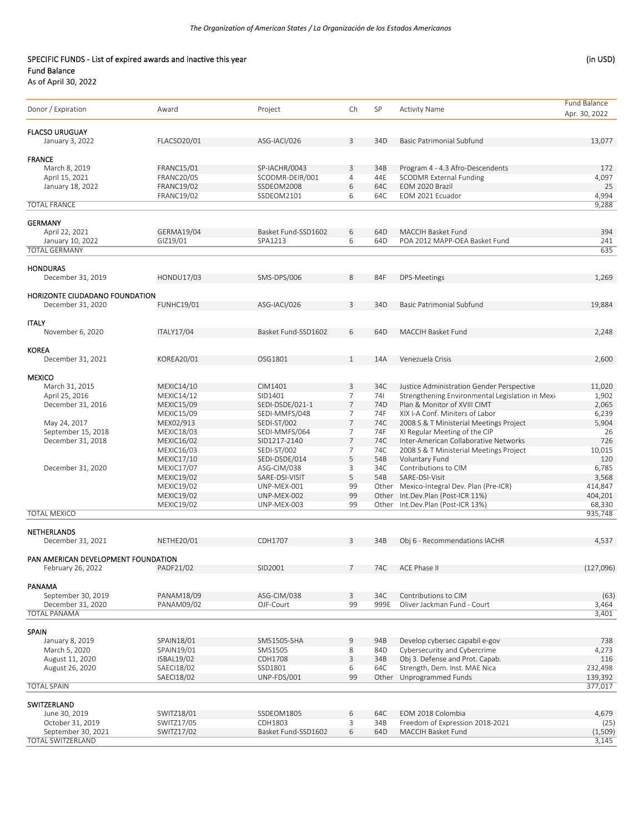### SPECIFIC FUNDS - List of expired awards and inactive this year (in USD) Fund Balance

| Donor / Expiration                  | Award                           | Project                      | Ch                  | SP              | <b>Activity Name</b>                                 | Fund Balance<br>Apr. 30, 2022 |
|-------------------------------------|---------------------------------|------------------------------|---------------------|-----------------|------------------------------------------------------|-------------------------------|
| <b>FLACSO URUGUAY</b>               |                                 |                              |                     |                 |                                                      |                               |
| January 3, 2022                     | FLACSO20/01                     | ASG-IACI/026                 | 3                   | 34D             | Basic Patrimonial Subfund                            | 13,077                        |
|                                     |                                 |                              |                     |                 |                                                      |                               |
| <b>FRANCE</b><br>March 8, 2019      | <b>FRANC15/01</b>               | SP-IACHR/0043                | 3                   | 34B             | Program 4 - 4.3 Afro-Descendents                     | 172                           |
| April 15, 2021                      | <b>FRANC20/05</b>               | SCODMR-DEIR/001              | 4                   | 44E             | <b>SCODMR External Funding</b>                       | 4,097                         |
| January 18, 2022                    | <b>FRANC19/02</b>               | SSDEOM2008                   | 6                   | 64C             | EOM 2020 Brazil                                      | 25                            |
|                                     | <b>FRANC19/02</b>               | SSDEOM2101                   | 6                   | 64C             | EOM 2021 Ecuador                                     | 4,994                         |
| <b>TOTAL FRANCE</b>                 |                                 |                              |                     |                 |                                                      | 9,288                         |
|                                     |                                 |                              |                     |                 |                                                      |                               |
| <b>GERMANY</b><br>April 22, 2021    | GERMA19/04                      | Basket Fund-SSD1602          | 6                   | 64D             | MACCIH Basket Fund                                   | 394                           |
| January 10, 2022                    | GIZ19/01                        | SPA1213                      | 6                   | 64D             | POA 2012 MAPP-OEA Basket Fund                        | 241                           |
| <b>TOTAL GERMANY</b>                |                                 |                              |                     |                 |                                                      | 635                           |
|                                     |                                 |                              |                     |                 |                                                      |                               |
| <b>HONDURAS</b>                     |                                 |                              |                     |                 |                                                      |                               |
| December 31, 2019                   | HONDU17/03                      | SMS-DPS/006                  | 8                   | 84F             | DPS-Meetings                                         | 1,269                         |
|                                     |                                 |                              |                     |                 |                                                      |                               |
| HORIZONTE CIUDADANO FOUNDATION      |                                 |                              |                     |                 |                                                      |                               |
| December 31, 2020                   | <b>FUNHC19/01</b>               | ASG-IACI/026                 | 3                   | 34D             | Basic Patrimonial Subfund                            | 19,884                        |
|                                     |                                 |                              |                     |                 |                                                      |                               |
| <b>ITALY</b><br>November 6, 2020    | <b>ITALY17/04</b>               | Basket Fund-SSD1602          | 6                   | 64D             | <b>MACCIH Basket Fund</b>                            | 2,248                         |
|                                     |                                 |                              |                     |                 |                                                      |                               |
| <b>KOREA</b>                        |                                 |                              |                     |                 |                                                      |                               |
| December 31, 2021                   | KOREA20/01                      | OSG1801                      | 1                   | 14A             | Venezuela Crisis                                     | 2,600                         |
|                                     |                                 |                              |                     |                 |                                                      |                               |
| <b>MEXICO</b>                       |                                 |                              |                     |                 |                                                      |                               |
| March 31, 2015                      | MEXIC14/10                      | CIM1401                      | 3                   | 34C             | Justice Administration Gender Perspective            | 11,020                        |
| April 25, 2016                      | MEXIC14/12                      | SID1401                      | $\overline{7}$      | 741             | Strengthening Environmental Legislation in Mexid     | 1,902                         |
| December 31, 2016                   | <b>MEXIC15/09</b>               | SEDI-DSDE/021-1              | 7                   | 74 <sub>D</sub> | Plan & Monitor of XVIII CIMT                         | 2,065                         |
|                                     | <b>MEXIC15/09</b>               | SEDI-MMFS/048                | $\overline{7}$      | 74F             | XIX I-A Conf. Miniters of Labor                      | 6,239                         |
| May 24, 2017                        | MEX02/913                       | SEDI-ST/002                  | 7                   | 74C             | 2008 S & T Ministerial Meetings Project              | 5,904                         |
| September 15, 2018                  | <b>MEXIC18/03</b>               | SEDI-MMFS/064                | $\overline{7}$      | 74F             | XI Regular Meeting of the CIP                        | 26                            |
| December 31, 2018                   | <b>MEXIC16/02</b>               | SID1217-2140                 | $\overline{7}$      | 74C             | Inter-American Collaborative Networks                | 726                           |
|                                     | MEXIC16/03                      | SEDI-ST/002                  | $\overline{7}$<br>5 | 74C             | 2008 S & T Ministerial Meetings Project              | 10,015                        |
| December 31, 2020                   | MEXIC17/10<br><b>MEXIC17/07</b> | SEDI-DSDE/014<br>ASG-CIM/038 | 3                   | 54B<br>34C      | Voluntary Fund<br>Contributions to CIM               | 120<br>6,785                  |
|                                     | MEXIC19/02                      | SARE-DSI-VISIT               | 5                   | 54B             | SARE-DSI-Visit                                       | 3,568                         |
|                                     | MEXIC19/02                      | UNP-MEX-001                  | 99                  |                 | Other Mexico-Integral Dev. Plan (Pre-ICR)            | 414,847                       |
|                                     | <b>MEXIC19/02</b>               | UNP-MEX-002                  | 99                  |                 | Other Int.Dev.Plan (Post-ICR 11%)                    | 404,201                       |
|                                     | <b>MEXIC19/02</b>               | UNP-MEX-003                  | 99                  |                 | Other Int.Dev.Plan (Post-ICR 13%)                    | 68,330                        |
| <b>TOTAL MEXICO</b>                 |                                 |                              |                     |                 |                                                      | 935,748                       |
|                                     |                                 |                              |                     |                 |                                                      |                               |
| NETHERLANDS                         |                                 |                              |                     |                 |                                                      |                               |
| December 31, 2021                   | <b>NETHE20/01</b>               | CDH1707                      | 3                   | 34B             | Obj 6 - Recommendations IACHR                        | 4,537                         |
| PAN AMERICAN DEVELOPMENT FOUNDATION |                                 |                              |                     |                 |                                                      |                               |
| February 26, 2022                   | PADF21/02                       | SID2001                      | 7                   | 74C             | ACE Phase II                                         | (127,096)                     |
|                                     |                                 |                              |                     |                 |                                                      |                               |
| PANAMA                              |                                 |                              |                     |                 |                                                      |                               |
| September 30, 2019                  | PANAM18/09                      | ASG-CIM/038                  | 3                   | 34C             | Contributions to CIM                                 | (63)                          |
| December 31, 2020                   | PANAM09/02                      | OJF-Court                    | 99                  | 999E            | Oliver Jackman Fund - Court                          | 3,464                         |
| <b>TOTAL PANAMA</b>                 |                                 |                              |                     |                 |                                                      | 3,401                         |
|                                     |                                 |                              |                     |                 |                                                      |                               |
| <b>SPAIN</b><br>January 8, 2019     |                                 |                              |                     | 94B             | Develop cybersec capabil e-gov                       | 738                           |
| March 5, 2020                       | SPAIN18/01<br>SPAIN19/01        | SMS1505-SHA                  | 9<br>8              | 84D             | Cybersecurity and Cybercrime                         |                               |
| August 11, 2020                     | ISBAL19/02                      | SMS1505<br>CDH1708           | 3                   | 34B             | Obj 3. Defense and Prot. Capab.                      | 4,273<br>116                  |
| August 26, 2020                     | SAECI18/02                      | SSD1801                      | 6                   | 64C             | Strength, Dem. Inst. MAE Nica                        | 232,498                       |
|                                     | SAECI18/02                      | UNP-FDS/001                  | 99                  |                 | Other Unprogrammed Funds                             | 139,392                       |
| <b>TOTAL SPAIN</b>                  |                                 |                              |                     |                 |                                                      | 377,017                       |
|                                     |                                 |                              |                     |                 |                                                      |                               |
| SWITZERLAND                         |                                 |                              |                     |                 |                                                      |                               |
| June 30, 2019<br>October 31, 2019   | SWITZ18/01<br>SWITZ17/05        | SSDEOM1805<br>CDH1803        | 6<br>3              | 64C<br>34B      | EOM 2018 Colombia<br>Freedom of Expression 2018-2021 | 4,679<br>(25)                 |
| September 30, 2021                  | SWITZ17/02                      | Basket Fund-SSD1602          | 6                   | 64D             | MACCIH Basket Fund                                   | (1,509)                       |
| TOTAL SWITZERLAND                   |                                 |                              |                     |                 |                                                      | 3,145                         |
|                                     |                                 |                              |                     |                 |                                                      |                               |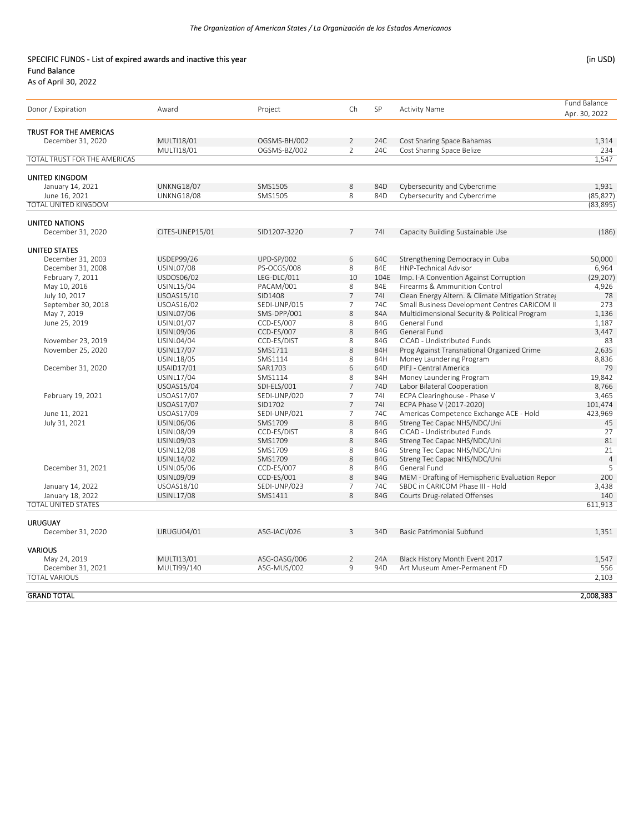### SPECIFIC FUNDS - List of expired awards and inactive this year (in USD) Fund Balance

| Donor / Expiration                          | Award             | Project           | Ch                       | SP              | <b>Activity Name</b>                              | Fund Balance<br>Apr. 30, 2022 |
|---------------------------------------------|-------------------|-------------------|--------------------------|-----------------|---------------------------------------------------|-------------------------------|
|                                             |                   |                   |                          |                 |                                                   |                               |
| TRUST FOR THE AMERICAS<br>December 31, 2020 | MULTI18/01        | OGSMS-BH/002      | $\overline{2}$           | 24C             | Cost Sharing Space Bahamas                        | 1,314                         |
|                                             | MULTI18/01        | OGSMS-BZ/002      | $\overline{2}$           | 24C             | Cost Sharing Space Belize                         | 234                           |
| TOTAL TRUST FOR THE AMERICAS                |                   |                   |                          |                 |                                                   | 1,547                         |
|                                             |                   |                   |                          |                 |                                                   |                               |
| <b>UNITED KINGDOM</b>                       |                   |                   |                          |                 |                                                   |                               |
| January 14, 2021                            | <b>UNKNG18/07</b> | SMS1505           | 8                        | 84D             | Cybersecurity and Cybercrime                      | 1,931                         |
| June 16, 2021                               | <b>UNKNG18/08</b> | SMS1505           | 8                        | 84D             | Cybersecurity and Cybercrime                      | (85, 827)                     |
| TOTAL UNITED KINGDOM                        |                   |                   |                          |                 |                                                   | (83, 895)                     |
| <b>UNITED NATIONS</b>                       |                   |                   |                          |                 |                                                   |                               |
| December 31, 2020                           | CITES-UNEP15/01   | SID1207-3220      | $\overline{7}$           | 741             | Capacity Building Sustainable Use                 | (186)                         |
| <b>UNITED STATES</b>                        |                   |                   |                          |                 |                                                   |                               |
| December 31, 2003                           | USDEP99/26        | <b>UPD-SP/002</b> | 6                        | 64C             | Strengthening Democracy in Cuba                   | 50,000                        |
| December 31, 2008                           | <b>USINL07/08</b> | PS-OCGS/008       | 8                        | 84E             | HNP-Technical Advisor                             | 6,964                         |
| February 7, 2011                            | USDOS06/02        | LEG-DLC/011       | 10                       | 104E            | Imp. I-A Convention Against Corruption            | (29, 207)                     |
| May 10, 2016                                | USINL15/04        | PACAM/001         | 8                        | 84E             | Firearms & Ammunition Control                     | 4,926                         |
| July 10, 2017                               | USOAS15/10        | SID1408           | $\overline{7}$           | 741             | Clean Energy Altern. & Climate Mitigation Strates | 78                            |
| September 30, 2018                          | USOAS16/02        | SEDI-UNP/015      | $\overline{\phantom{a}}$ | 74C             | Small Business Development Centres CARICOM II     | 273                           |
| May 7, 2019                                 | <b>USINL07/06</b> | SMS-DPP/001       | 8                        | 84A             | Multidimensional Security & Political Program     | 1,136                         |
| June 25, 2019                               | <b>USINL01/07</b> | CCD-ES/007        | 8                        | 84G             | General Fund                                      | 1,187                         |
|                                             | USINL09/06        | CCD-ES/007        | 8                        | 84G             | General Fund                                      | 3,447                         |
| November 23, 2019                           | <b>USINL04/04</b> | CCD-ES/DIST       | 8                        | 84G             | CICAD - Undistributed Funds                       | 83                            |
| November 25, 2020                           | USINL17/07        | SMS1711           | 8                        | 84H             | Prog Against Transnational Organized Crime        | 2,635                         |
|                                             | USINL18/05        | SMS1114           | 8                        | 84H             | Money Laundering Program                          | 8,836                         |
| December 31, 2020                           | USAID17/01        | SAR1703           | 6                        | 64D             | PIFJ - Central America                            | 79                            |
|                                             | USINL17/04        | SMS1114           | 8                        | 84H             | Money Laundering Program                          | 19,842                        |
|                                             | <b>USOAS15/04</b> | SDI-ELS/001       | $\overline{7}$           | 74 <sub>D</sub> | Labor Bilateral Cooperation                       | 8,766                         |
| February 19, 2021                           | <b>USOAS17/07</b> | SEDI-UNP/020      | $\overline{7}$           | 741             | ECPA Clearinghouse - Phase V                      | 3,465                         |
|                                             | <b>USOAS17/07</b> | SID1702           | $\overline{7}$           | 741             | ECPA Phase V (2017-2020)                          | 101,474                       |
| June 11, 2021                               | USOAS17/09        | SEDI-UNP/021      | $\overline{7}$           | 74C             | Americas Competence Exchange ACE - Hold           | 423,969                       |
| July 31, 2021                               | USINL06/06        | SMS1709           | 8                        | 84G             | Streng Tec Capac NHS/NDC/Uni                      | 45                            |
|                                             | <b>USINL08/09</b> | CCD-ES/DIST       | 8                        | 84G             | CICAD - Undistributed Funds                       | 27                            |
|                                             | USINL09/03        | SMS1709           | 8                        | 84G             | Streng Tec Capac NHS/NDC/Uni                      | 81                            |
|                                             | USINL12/08        | SMS1709           | 8                        | 84G             | Streng Tec Capac NHS/NDC/Uni                      | 21                            |
|                                             | USINL14/02        | SMS1709           | 8                        | 84G             | Streng Tec Capac NHS/NDC/Uni                      | $\overline{4}$                |
| December 31, 2021                           | <b>USINL05/06</b> | CCD-ES/007        | 8                        | 84G             | General Fund                                      | 5                             |
|                                             | USINL09/09        | CCD-ES/001        | 8                        | 84G             | MEM - Drafting of Hemispheric Evaluation Repor    | 200                           |
| January 14, 2022                            | USOAS18/10        | SEDI-UNP/023      | $\overline{7}$           | 74C             | SBDC in CARICOM Phase III - Hold                  | 3,438                         |
| January 18, 2022                            | USINL17/08        | SMS1411           | 8                        | 84G             | Courts Drug-related Offenses                      | 140                           |
| <b>TOTAL UNITED STATES</b>                  |                   |                   |                          |                 |                                                   | 611,913                       |
|                                             |                   |                   |                          |                 |                                                   |                               |
| <b>URUGUAY</b><br>December 31, 2020         | <b>URUGU04/01</b> | ASG-IACI/026      | 3                        | 34D             | <b>Basic Patrimonial Subfund</b>                  | 1,351                         |
|                                             |                   |                   |                          |                 |                                                   |                               |
| <b>VARIOUS</b>                              |                   |                   |                          |                 |                                                   |                               |
| May 24, 2019                                | MULTI13/01        | ASG-OASG/006      | $\overline{2}$           | 24A             | Black History Month Event 2017                    | 1,547                         |
| December 31, 2021                           | MULTI99/140       | ASG-MUS/002       | 9                        | 94D             | Art Museum Amer-Permanent FD                      | 556                           |
| <b>TOTAL VARIOUS</b>                        |                   |                   |                          |                 |                                                   | 2,103                         |
| <b>GRAND TOTAL</b>                          |                   |                   |                          |                 |                                                   | 2,008,383                     |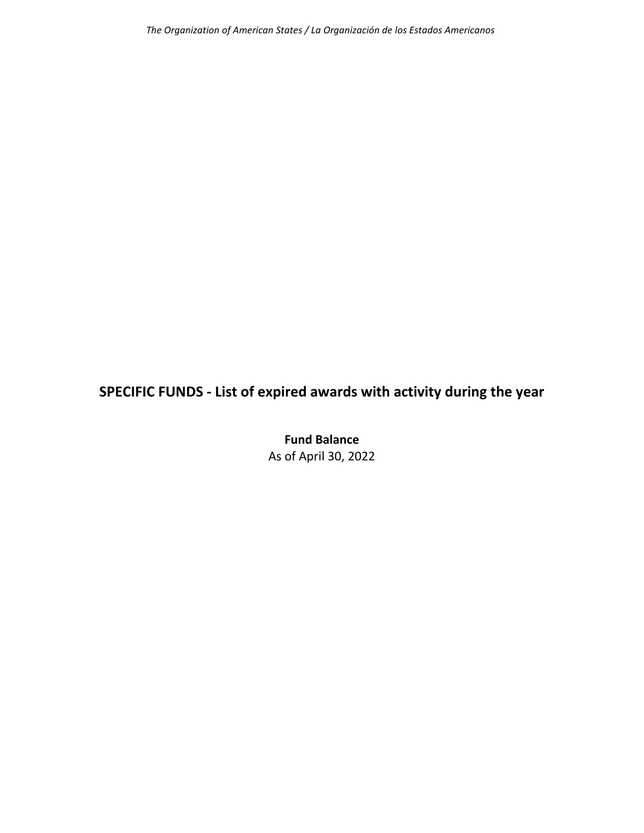# **SPECIFIC FUNDS ‐ List of expired awards with activity during the year**

**Fund Balance** As of April 30, 2022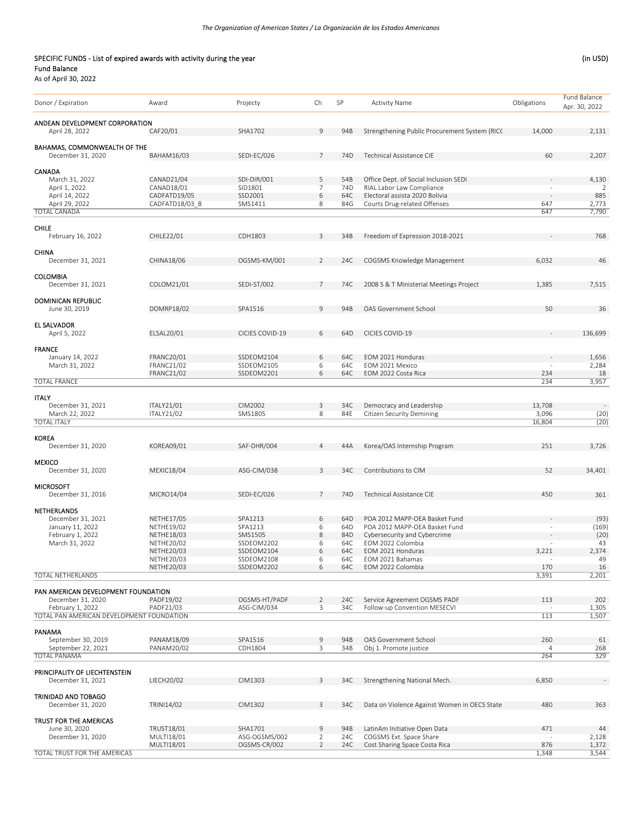#### SPECIFIC FUNDS - List of expired awards with activity during the year (in USD) SPECIFIC FUNDS - List of expired awards with activity during the year Fund Balance

| Donor / Expiration                                | Award                                  | Projecty                 | Ch             | SP              | <b>Activity Name</b>                                          | Obligations           | <b>Fund Balance</b> |
|---------------------------------------------------|----------------------------------------|--------------------------|----------------|-----------------|---------------------------------------------------------------|-----------------------|---------------------|
|                                                   |                                        |                          |                |                 |                                                               |                       | Apr. 30, 2022       |
| ANDEAN DEVELOPMENT CORPORATION                    |                                        |                          |                |                 |                                                               |                       |                     |
| April 28, 2022                                    | CAF20/01                               | SHA1702                  | 9              | 94B             | Strengthening Public Procurement System (RICC                 | 14,000                | 2,131               |
|                                                   |                                        |                          |                |                 |                                                               |                       |                     |
| BAHAMAS, COMMONWEALTH OF THE<br>December 31, 2020 | <b>BAHAM16/03</b>                      | SEDI-EC/026              | 7              | 74 <sub>D</sub> | Technical Assistance CIE                                      | 60                    | 2,207               |
|                                                   |                                        |                          |                |                 |                                                               |                       |                     |
| CANADA                                            |                                        |                          |                |                 |                                                               |                       |                     |
| March 31, 2022                                    | CANAD21/04                             | SDI-DIR/001              | 5              | 54B             | Office Dept. of Social Inclusion SEDI                         |                       | 4,130               |
| April 1, 2022                                     | CANAD18/01                             | SID1801                  | 7              | 74D             | RIAL Labor Law Compliance                                     |                       | 2                   |
| April 14, 2022                                    | CADFATD19/05                           | SSD2001                  | 6              | 64C             | Electoral assista 2020 Bolivia                                |                       | 885                 |
| April 29, 2022<br><b>TOTAL CANADA</b>             | CADFATD18/03 B                         | SMS1411                  | 8              | 84G             | Courts Drug-related Offenses                                  | 647<br>647            | 2,773<br>7,790      |
|                                                   |                                        |                          |                |                 |                                                               |                       |                     |
| <b>CHILE</b>                                      |                                        |                          |                |                 |                                                               |                       |                     |
| February 16, 2022                                 | CHILE22/01                             | CDH1803                  | 3              | 34B             | Freedom of Expression 2018-2021                               |                       | 768                 |
|                                                   |                                        |                          |                |                 |                                                               |                       |                     |
| CHINA<br>December 31, 2021                        | CHINA18/06                             | OGSMS-KM/001             | 2              | 24C             | COGSMS Knowledge Management                                   | 6,032                 | 46                  |
|                                                   |                                        |                          |                |                 |                                                               |                       |                     |
| <b>COLOMBIA</b>                                   |                                        |                          |                |                 |                                                               |                       |                     |
| December 31, 2021                                 | COLOM21/01                             | SEDI-ST/002              | 7              | 74C             | 2008 S & T Ministerial Meetings Project                       | 1,385                 | 7,515               |
|                                                   |                                        |                          |                |                 |                                                               |                       |                     |
| <b>DOMINICAN REPUBLIC</b>                         |                                        |                          |                |                 |                                                               |                       |                     |
| June 30, 2019                                     | DOMRP18/02                             | SPA1516                  | 9              | 94B             | OAS Government School                                         | 50                    | 36                  |
| <b>EL SALVADOR</b>                                |                                        |                          |                |                 |                                                               |                       |                     |
| April 5, 2022                                     | ELSAL20/01                             | CICIES COVID-19          | 6              | 64D             | CICIES COVID-19                                               |                       | 136,699             |
|                                                   |                                        |                          |                |                 |                                                               |                       |                     |
| <b>FRANCE</b>                                     |                                        |                          |                |                 |                                                               |                       |                     |
| January 14, 2022                                  | FRANC20/01                             | SSDEOM2104               | 6              | 64C             | EOM 2021 Honduras                                             |                       | 1,656               |
| March 31, 2022                                    | <b>FRANC21/02</b><br><b>FRANC21/02</b> | SSDEOM2105<br>SSDEOM2201 | 6<br>6         | 64C<br>64C      | EOM 2021 Mexico<br>EOM 2022 Costa Rica                        | 234                   | 2,284<br>18         |
| <b>TOTAL FRANCE</b>                               |                                        |                          |                |                 |                                                               | 234                   | 3,957               |
|                                                   |                                        |                          |                |                 |                                                               |                       |                     |
| <b>ITALY</b>                                      |                                        |                          |                |                 |                                                               |                       |                     |
| December 31, 2021                                 | ITALY21/01                             | CIM2002                  | 3              | 34C             | Democracy and Leadership                                      | 13,708                |                     |
| March 22, 2022                                    | <b>ITALY21/02</b>                      | SMS1805                  | 8              | 84E             | Citizen Security Demining                                     | 3,096                 | (20)                |
| <b>TOTAL ITALY</b>                                |                                        |                          |                |                 |                                                               | 16,804                | (20)                |
| <b>KOREA</b>                                      |                                        |                          |                |                 |                                                               |                       |                     |
| December 31, 2020                                 | KOREA09/01                             | SAF-DHR/004              | 4              | 44A             | Korea/OAS Internship Program                                  | 251                   | 3,726               |
|                                                   |                                        |                          |                |                 |                                                               |                       |                     |
| <b>MEXICO</b>                                     |                                        |                          |                |                 |                                                               |                       |                     |
| December 31, 2020                                 | <b>MEXIC18/04</b>                      | ASG-CIM/038              | 3              | 34C             | Contributions to CIM                                          | 52                    | 34,401              |
| <b>MICROSOFT</b>                                  |                                        |                          |                |                 |                                                               |                       |                     |
| December 31, 2016                                 | MICRO14/04                             | SEDI-EC/026              | 7              | 74 <sub>D</sub> | Technical Assistance CIE                                      | 450                   | 361                 |
|                                                   |                                        |                          |                |                 |                                                               |                       |                     |
| NETHERLANDS                                       |                                        |                          |                |                 |                                                               |                       |                     |
| December 31, 2021                                 | <b>NETHE17/05</b>                      | SPA1213                  | 6              | 64D             | POA 2012 MAPP-OEA Basket Fund                                 |                       | (93)                |
| January 11, 2022<br>February 1, 2022              | <b>NETHE19/02</b><br><b>NETHE18/03</b> | SPA1213<br>SMS1505       | 6<br>8         | 64D<br>84D      | POA 2012 MAPP-OEA Basket Fund<br>Cybersecurity and Cybercrime |                       | (169)<br>(20)       |
| March 31, 2022                                    | <b>NETHE20/02</b>                      | SSDEOM2202               | 6              | 64C             | EOM 2022 Colombia                                             |                       | 43                  |
|                                                   | NETHE20/03                             | SSDEOM2104               | 6              | 64C             | EOM 2021 Honduras                                             | 3,221                 | 2,374               |
|                                                   | <b>NETHE20/03</b>                      | SSDEOM2108               | 6              | 64C             | EOM 2021 Bahamas                                              |                       | 49                  |
|                                                   | NETHE20/03                             | SSDEOM2202               | 6              | 64C             | EOM 2022 Colombia                                             | 170                   | 16                  |
| <b>TOTAL NETHERLANDS</b>                          |                                        |                          |                |                 |                                                               | 3,391                 | 2,201               |
| PAN AMERICAN DEVELOPMENT FOUNDATION               |                                        |                          |                |                 |                                                               |                       |                     |
| December 31, 2020                                 | PADF19/02                              | OGSMS-HT/PADF            | 2              | 24C             | Service Agreement OGSMS PADF                                  | 113                   | 202                 |
| February 1, 2022                                  | PADF21/03                              | ASG-CIM/034              | 3              | 34C             | Follow-up Convention MESECVI                                  |                       | 1,305               |
| TOTAL PAN AMERICAN DEVELOPMENT FOUNDATION         |                                        |                          |                |                 |                                                               | 113                   | 1,507               |
|                                                   |                                        |                          |                |                 |                                                               |                       |                     |
| PANAMA                                            | PANAM18/09                             |                          |                | 94B             | OAS Government School                                         |                       | 61                  |
| September 30, 2019<br>September 22, 2021          | PANAM20/02                             | SPA1516<br>CDH1804       | 9<br>3         | 34B             | Obj 1. Promote justice                                        | 260<br>$\overline{4}$ | 268                 |
| <b>TOTAL PANAMA</b>                               |                                        |                          |                |                 |                                                               | 264                   | 329                 |
|                                                   |                                        |                          |                |                 |                                                               |                       |                     |
| PRINCIPALITY OF LIECHTENSTEIN                     |                                        |                          |                |                 |                                                               |                       |                     |
| December 31, 2021                                 | LIECH20/02                             | CIM1303                  | 3              | 34C             | Strengthening National Mech.                                  | 6,850                 |                     |
|                                                   |                                        |                          |                |                 |                                                               |                       |                     |
| TRINIDAD AND TOBAGO<br>December 31, 2020          | TRINI14/02                             | CIM1302                  | 3              | 34C             | Data on Violence Against Women in OECS State                  | 480                   | 363                 |
|                                                   |                                        |                          |                |                 |                                                               |                       |                     |
| TRUST FOR THE AMERICAS                            |                                        |                          |                |                 |                                                               |                       |                     |
| June 30, 2020                                     | TRUST18/01                             | SHA1701                  | 9              | 94B             | LatinAm Initiative Open Data                                  | 471                   | 44                  |
| December 31, 2020                                 | MULTI18/01                             | ASG-OGSMS/002            | 2              | 24C             | COGSMS Ext. Space Share                                       |                       | 2,128               |
|                                                   | MULTI18/01                             | OGSMS-CR/002             | $\overline{2}$ | 24C             | Cost Sharing Space Costa Rica                                 | 876                   | 1,372               |
| TOTAL TRUST FOR THE AMERICAS                      |                                        |                          |                |                 |                                                               | 1,348                 | 3,544               |